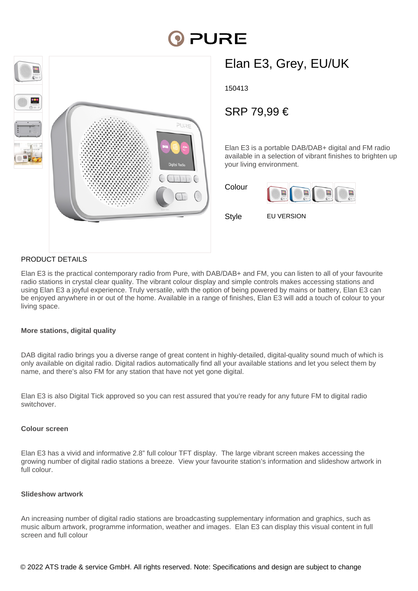# **PORE**



## Elan E3, Grey, EU/UK

150413

### SRP 79,99 €

Elan E3 is a portable DAB/DAB+ digital and FM radio available in a selection of vibrant finishes to brighten up your living environment.

| Colour |  |  |
|--------|--|--|
|        |  |  |
|        |  |  |

Style **EU VERSION** 

#### PRODUCT DETAILS

Elan E3 is the practical contemporary radio from Pure, with DAB/DAB+ and FM, you can listen to all of your favourite radio stations in crystal clear quality. The vibrant colour display and simple controls makes accessing stations and using Elan E3 a joyful experience. Truly versatile, with the option of being powered by mains or battery, Elan E3 can be enjoyed anywhere in or out of the home. Available in a range of finishes, Elan E3 will add a touch of colour to your living space.

#### **More stations, digital quality**

DAB digital radio brings you a diverse range of great content in highly-detailed, digital-quality sound much of which is only available on digital radio. Digital radios automatically find all your available stations and let you select them by name, and there's also FM for any station that have not yet gone digital.

Elan E3 is also Digital Tick approved so you can rest assured that you're ready for any future FM to digital radio switchover.

#### **Colour screen**

Elan E3 has a vivid and informative 2.8" full colour TFT display. The large vibrant screen makes accessing the growing number of digital radio stations a breeze. View your favourite station's information and slideshow artwork in full colour.

#### **Slideshow artwork**

An increasing number of digital radio stations are broadcasting supplementary information and graphics, such as music album artwork, programme information, weather and images. Elan E3 can display this visual content in full screen and full colour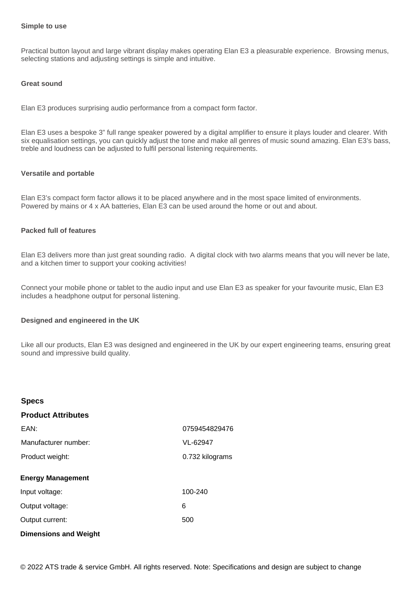#### **Simple to use**

Practical button layout and large vibrant display makes operating Elan E3 a pleasurable experience. Browsing menus, selecting stations and adjusting settings is simple and intuitive.

#### **Great sound**

Elan E3 produces surprising audio performance from a compact form factor.

Elan E3 uses a bespoke 3" full range speaker powered by a digital amplifier to ensure it plays louder and clearer. With six equalisation settings, you can quickly adjust the tone and make all genres of music sound amazing. Elan E3's bass, treble and loudness can be adjusted to fulfil personal listening requirements.

#### **Versatile and portable**

Elan E3's compact form factor allows it to be placed anywhere and in the most space limited of environments. Powered by mains or 4 x AA batteries, Elan E3 can be used around the home or out and about.

#### **Packed full of features**

**Specs**

Elan E3 delivers more than just great sounding radio. A digital clock with two alarms means that you will never be late, and a kitchen timer to support your cooking activities!

Connect your mobile phone or tablet to the audio input and use Elan E3 as speaker for your favourite music, Elan E3 includes a headphone output for personal listening.

#### **Designed and engineered in the UK**

Like all our products, Elan E3 was designed and engineered in the UK by our expert engineering teams, ensuring great sound and impressive build quality.

| opecs                        |                 |
|------------------------------|-----------------|
| <b>Product Attributes</b>    |                 |
| EAN:                         | 0759454829476   |
| Manufacturer number:         | VL-62947        |
| Product weight:              | 0.732 kilograms |
| <b>Energy Management</b>     |                 |
| Input voltage:               | 100-240         |
| Output voltage:              | 6               |
| Output current:              | 500             |
| <b>Dimensions and Weight</b> |                 |